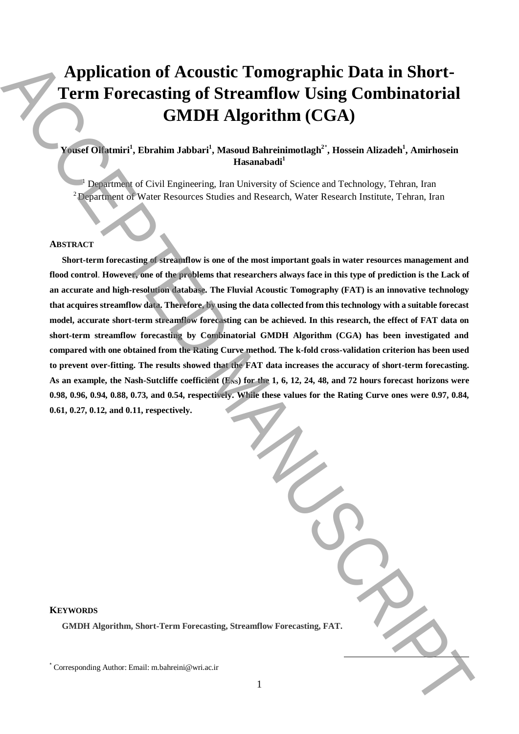# **Application of Acoustic Tomographic Data in Short-Term Forecasting of Streamflow Using Combinatorial GMDH Algorithm (CGA)**

## **Yousef Olfatmiri<sup>1</sup> , Ebrahim Jabbari<sup>1</sup> , Masoud Bahreinimotlagh<sup>2</sup>**\* **, Hossein Alizadeh<sup>1</sup> , Amirhosein Hasanabadi<sup>1</sup>**

<sup>1</sup> Department of Civil Engineering, Iran University of Science and Technology, Tehran, Iran  $2D$ epartment of Water Resources Studies and Research, Water Research Institute, Tehran, Iran

#### **ABSTRACT**

**Short-term forecasting of streamflow is one of the most important goals in water resources management and flood control**. **However, one of the problems that researchers always face in this type of prediction is the Lack of an accurate and high-resolution database. The Fluvial Acoustic Tomography (FAT) is an innovative technology that acquires streamflow data. Therefore, by using the data collected from this technology with a suitable forecast model, accurate short-term streamflow forecasting can be achieved. In this research, the effect of FAT data on short-term streamflow forecasting by Combinatorial GMDH Algorithm (CGA) has been investigated and compared with one obtained from the Rating Curve method. The k-fold cross-validation criterion has been used to prevent over-fitting. The results showed that the FAT data increases the accuracy of short-term forecasting.**  As an example, the Nash-Sutcliffe coefficient (E<sub>NS</sub>) for the 1, 6, 12, 24, 48, and 72 hours forecast horizons were **0.98, 0.96, 0.94, 0.88, 0.73, and 0.54, respectively. While these values for the Rating Curve ones were 0.97, 0.84, 0.61, 0.27, 0.12, and 0.11, respectively. Application of Acoustic Tomographic Data in Short-<br>
Term Forecasting of Streamflow Using Combinatorial<br>
CoMDH Algorithm (CGA)<br>
Confident (Namber Manuscriptor), Tarach Manuscriptor), Amintonial<br>
Comparison (Name Romans Sh** 

### **KEYWORDS**

**GMDH Algorithm, Short-Term Forecasting, Streamflow Forecasting, FAT.**

**.**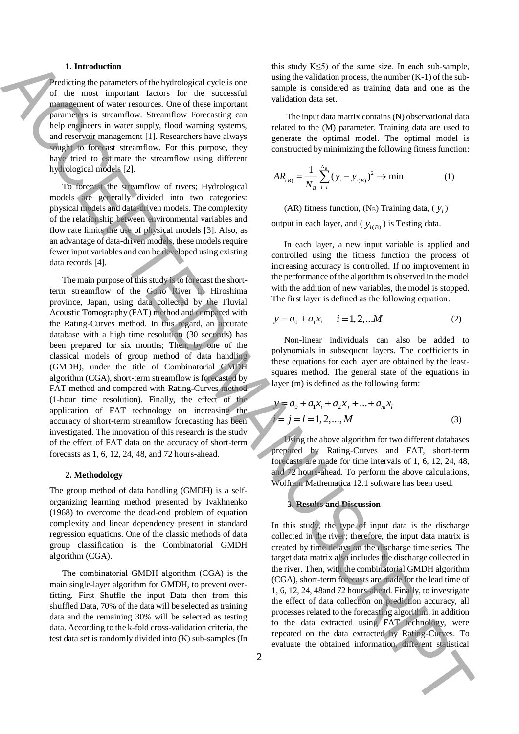#### **1. Introduction**

Predicting the parameters of the hydrological cycle is one of the most important factors for the successful management of water resources. One of these important parameters is streamflow. Streamflow Forecasting can help engineers in water supply, flood warning systems, and reservoir management [1]. Researchers have always sought to forecast streamflow. For this purpose, they have tried to estimate the streamflow using different hydrological models [2].

To forecast the streamflow of rivers; Hydrological models are generally divided into two categories: physical models and data-driven models. The complexity of the relationship between environmental variables and flow rate limits the use of physical models [3]. Also, as an advantage of data-driven models, these models require fewer input variables and can be developed using existing data records [4].

The main purpose of this study is to forecast the shortterm streamflow of the Gono River in Hiroshima province, Japan, using data collected by the Fluvial Acoustic Tomography (FAT) method and compared with the Rating-Curves method. In this regard, an accurate database with a high time resolution (30 seconds) has been prepared for six months; Then, by one of the classical models of group method of data handling (GMDH), under the title of Combinatorial GMDH algorithm (CGA), short-term streamflow is forecasted by FAT method and compared with Rating-Curves method (1-hour time resolution). Finally, the effect of the application of FAT technology on increasing the accuracy of short-term streamflow forecasting has been investigated. The innovation of this research is the study of the effect of FAT data on the accuracy of short-term forecasts as 1, 6, 12, 24, 48, and 72 hours-ahead. **Example of the observation in the observation in the observation in the observation of the observation in the observation in the observation in the observation in the observation in the observation in the observation in** 

#### **2. Methodology**

The group method of data handling (GMDH) is a selforganizing learning method presented by Ivakhnenko (1968) to overcome the dead-end problem of equation complexity and linear dependency present in standard regression equations. One of the classic methods of data group classification is the Combinatorial GMDH algorithm (CGA).

The combinatorial GMDH algorithm (CGA) is the main single-layer algorithm for GMDH, to prevent overfitting. First Shuffle the input Data then from this shuffled Data, 70% of the data will be selected as training data and the remaining 30% will be selected as testing data. According to the k-fold cross-validation criteria, the test data set is randomly divided into (K) sub-samples (In this study  $K \leq 5$ ) of the same size. In each sub-sample, using the validation process, the number (K-1) of the subsample is considered as training data and one as the validation data set.

The input data matrix contains (N) observational data related to the (M) parameter. Training data are used to generate the optimal model. The optimal model is constructed by minimizing the following fitness function:

$$
AR_{(B)} = \frac{1}{N_B} \sum_{i=1}^{N_B} (y_i - y_{i(B)})^2 \to \min
$$
 (1)

(AR) fitness function,  $(N_B)$  Training data,  $(y_i)$ output in each layer, and  $(y_{i(B)})$  is Testing data.

In each layer, a new input variable is applied and controlled using the fitness function the process of increasing accuracy is controlled. If no improvement in the performance of the algorithm is observed in the model with the addition of new variables, the model is stopped. The first layer is defined as the following equation.

$$
y = a_0 + a_1 x_i \qquad i = 1, 2, \dots M \tag{2}
$$

Non-linear individuals can also be added to polynomials in subsequent layers. The coefficients in these equations for each layer are obtained by the leastsquares method. The general state of the equations in layer (m) is defined as the following form:

$$
y = a_0 + a_1 x_i + a_2 x_j + \dots + a_m x_l
$$
  
\n
$$
i = j = l = 1, 2, \dots, M
$$
 (3)

Using the above algorithm for two different databases prepared by Rating-Curves and FAT, short-term forecasts are made for time intervals of 1, 6, 12, 24, 48, and 72 hours-ahead. To perform the above calculations, Wolfram Mathematica 12.1 software has been used.

#### **3. Results and Discussion**

In this study, the type of input data is the discharge collected in the river; therefore, the input data matrix is created by time delays on the discharge time series. The target data matrix also includes the discharge collected in the river. Then, with the combinatorial GMDH algorithm (CGA), short-term forecasts are made for the lead time of 1, 6, 12, 24, 48and 72 hours-ahead. Finally, to investigate the effect of data collection on prediction accuracy, all processes related to the forecasting algorithm; in addition to the data extracted using FAT technology, were repeated on the data extracted by Rating-Curves. To